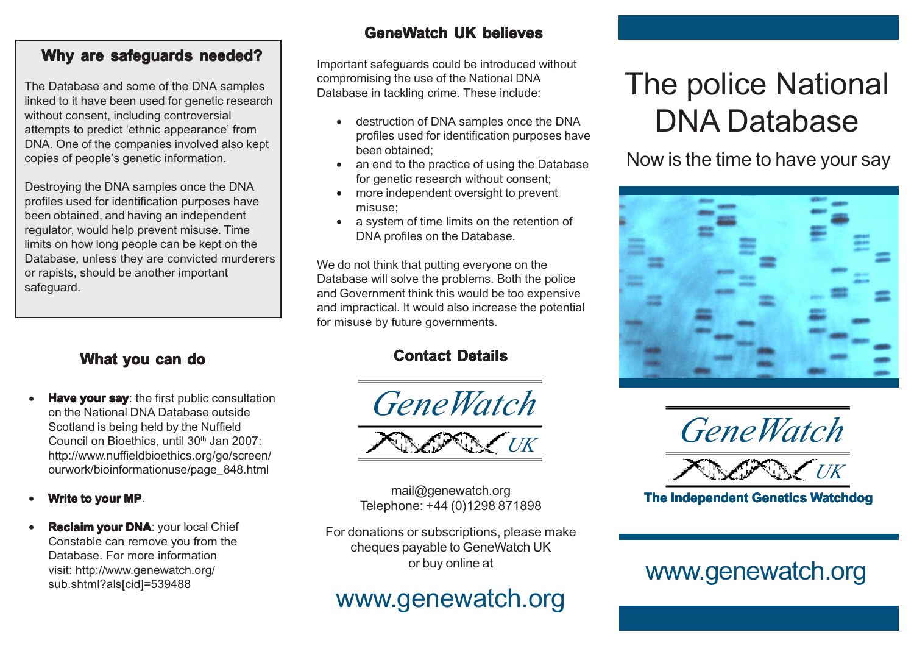#### **Why are safeguards needed?**

The Database and some of the DNA samples linked to it have been used for genetic research without consent, including controversial attempts to predict 'ethnic appearance' from DNA. One of the companies involved also kept copies of people's genetic information.

Destroying the DNA samples once the DNA profiles used for identification purposes have been obtained, and having an independent regulator, would help prevent misuse. Time limits on how long people can be kept on the Database, unless they are convicted murderers or rapists, should be another important safeguard.

### **What you can do**

- **Have your say:** the first public consultation on the National DNA Database outside Scotland is being held by the Nuffield Council on Bioethics, until 30<sup>th</sup> Jan 2007: http://www.nuffieldbioethics.org/go/screen/ ourwork/bioinformationuse/page\_848.html
- **Write to your MP**.
- **Reclaim your DNA**: your local Chief Constable can remove you from the Database. For more information visit: http://www.genewatch.org/ sub.shtml?als[cid]=539488

### **GeneWatch UK believes**

Important safeguards could be introduced without compromising the use of the National DNA Database in tackling crime. These include:

- destruction of DNA samples once the DNA profiles used for identification purposes have been obtained;
- an end to the practice of using the Database for genetic research without consent;
- more independent oversight to prevent misuse;
- a system of time limits on the retention of DNA profiles on the Database.

We do not think that putting everyone on the Database will solve the problems. Both the police and Government think this would be too expensive and impractical. It would also increase the potential for misuse by future governments.

# **Contact Details**





mail@genewatch.org Telephone: +44 (0)1298 871898

For donations or subscriptions, please make cheques payable to GeneWatch UK or buy online at

# www.genewatch.org

# The police National DNA Database

Now is the time to have your say



*GeneWatch*

*UK*

**The Independent Genetics Watchdog**

# www.genewatch.org